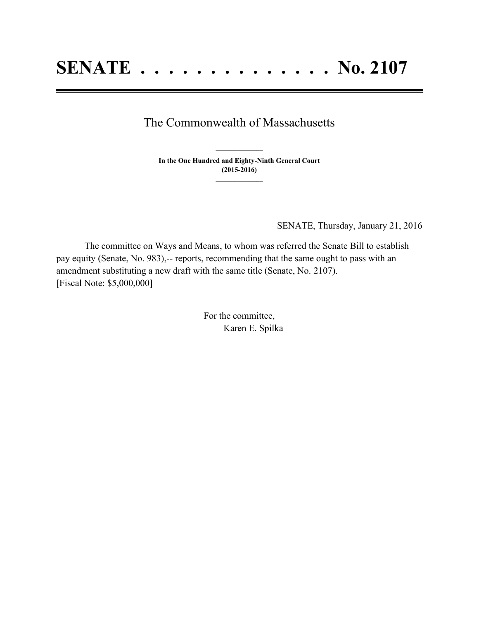## The Commonwealth of Massachusetts

**In the One Hundred and Eighty-Ninth General Court (2015-2016) \_\_\_\_\_\_\_\_\_\_\_\_\_\_\_**

**\_\_\_\_\_\_\_\_\_\_\_\_\_\_\_**

SENATE, Thursday, January 21, 2016

The committee on Ways and Means, to whom was referred the Senate Bill to establish pay equity (Senate, No. 983),-- reports, recommending that the same ought to pass with an amendment substituting a new draft with the same title (Senate, No. 2107). [Fiscal Note: \$5,000,000]

> For the committee, Karen E. Spilka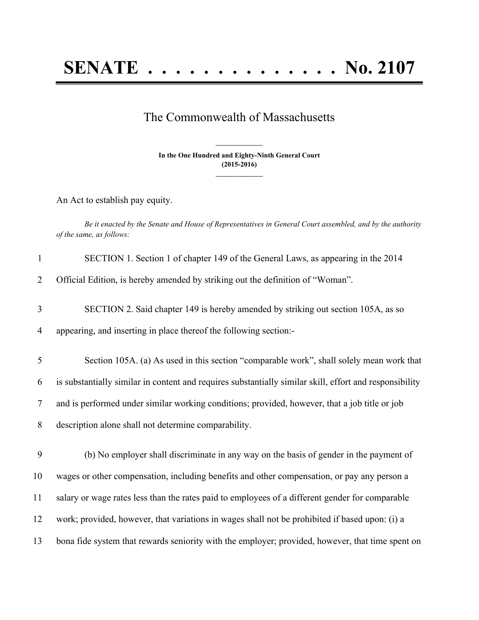## The Commonwealth of Massachusetts

**In the One Hundred and Eighty-Ninth General Court (2015-2016) \_\_\_\_\_\_\_\_\_\_\_\_\_\_\_**

**\_\_\_\_\_\_\_\_\_\_\_\_\_\_\_**

An Act to establish pay equity.

Be it enacted by the Senate and House of Representatives in General Court assembled, and by the authority *of the same, as follows:*

| $\mathbf{1}$ | SECTION 1. Section 1 of chapter 149 of the General Laws, as appearing in the 2014                       |
|--------------|---------------------------------------------------------------------------------------------------------|
| 2            | Official Edition, is hereby amended by striking out the definition of "Woman".                          |
| 3            | SECTION 2. Said chapter 149 is hereby amended by striking out section 105A, as so                       |
| 4            | appearing, and inserting in place thereof the following section:-                                       |
| 5            | Section 105A. (a) As used in this section "comparable work", shall solely mean work that                |
| 6            | is substantially similar in content and requires substantially similar skill, effort and responsibility |
| 7            | and is performed under similar working conditions; provided, however, that a job title or job           |
| 8            | description alone shall not determine comparability.                                                    |
| 9            | (b) No employer shall discriminate in any way on the basis of gender in the payment of                  |
| 10           | wages or other compensation, including benefits and other compensation, or pay any person a             |
| 11           | salary or wage rates less than the rates paid to employees of a different gender for comparable         |
| 12           | work; provided, however, that variations in wages shall not be prohibited if based upon: (i) a          |
| 13           | bona fide system that rewards seniority with the employer; provided, however, that time spent on        |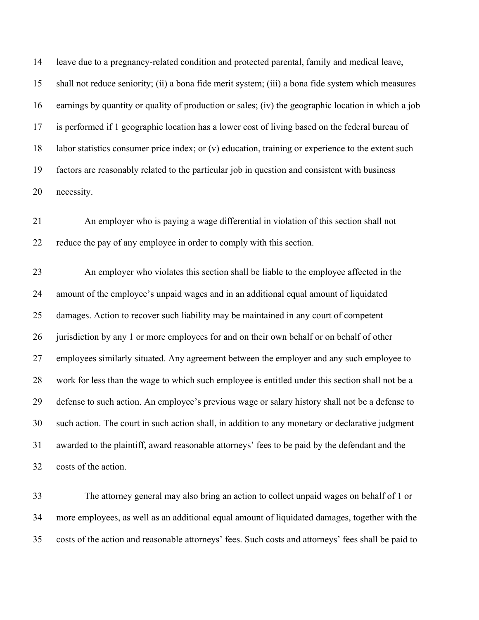leave due to a pregnancy-related condition and protected parental, family and medical leave, shall not reduce seniority; (ii) a bona fide merit system; (iii) a bona fide system which measures earnings by quantity or quality of production or sales; (iv) the geographic location in which a job is performed if 1 geographic location has a lower cost of living based on the federal bureau of labor statistics consumer price index; or (v) education, training or experience to the extent such factors are reasonably related to the particular job in question and consistent with business necessity.

 An employer who is paying a wage differential in violation of this section shall not reduce the pay of any employee in order to comply with this section.

 An employer who violates this section shall be liable to the employee affected in the amount of the employee's unpaid wages and in an additional equal amount of liquidated damages. Action to recover such liability may be maintained in any court of competent 26 jurisdiction by any 1 or more employees for and on their own behalf or on behalf of other employees similarly situated. Any agreement between the employer and any such employee to work for less than the wage to which such employee is entitled under this section shall not be a defense to such action. An employee's previous wage or salary history shall not be a defense to such action. The court in such action shall, in addition to any monetary or declarative judgment awarded to the plaintiff, award reasonable attorneys' fees to be paid by the defendant and the costs of the action.

 The attorney general may also bring an action to collect unpaid wages on behalf of 1 or more employees, as well as an additional equal amount of liquidated damages, together with the costs of the action and reasonable attorneys' fees. Such costs and attorneys' fees shall be paid to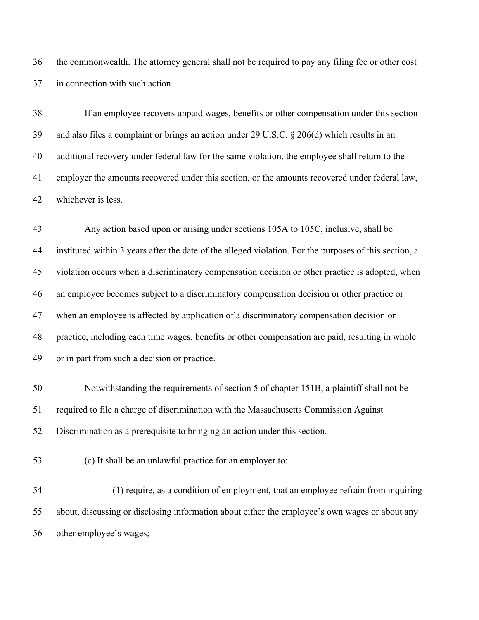the commonwealth. The attorney general shall not be required to pay any filing fee or other cost in connection with such action.

 If an employee recovers unpaid wages, benefits or other compensation under this section and also files a complaint or brings an action under 29 U.S.C. § 206(d) which results in an additional recovery under federal law for the same violation, the employee shall return to the employer the amounts recovered under this section, or the amounts recovered under federal law, whichever is less.

 Any action based upon or arising under sections 105A to 105C, inclusive, shall be instituted within 3 years after the date of the alleged violation. For the purposes of this section, a violation occurs when a discriminatory compensation decision or other practice is adopted, when an employee becomes subject to a discriminatory compensation decision or other practice or when an employee is affected by application of a discriminatory compensation decision or practice, including each time wages, benefits or other compensation are paid, resulting in whole or in part from such a decision or practice.

 Notwithstanding the requirements of section 5 of chapter 151B, a plaintiff shall not be required to file a charge of discrimination with the Massachusetts Commission Against Discrimination as a prerequisite to bringing an action under this section.

(c) It shall be an unlawful practice for an employer to:

 (1) require, as a condition of employment, that an employee refrain from inquiring about, discussing or disclosing information about either the employee's own wages or about any other employee's wages;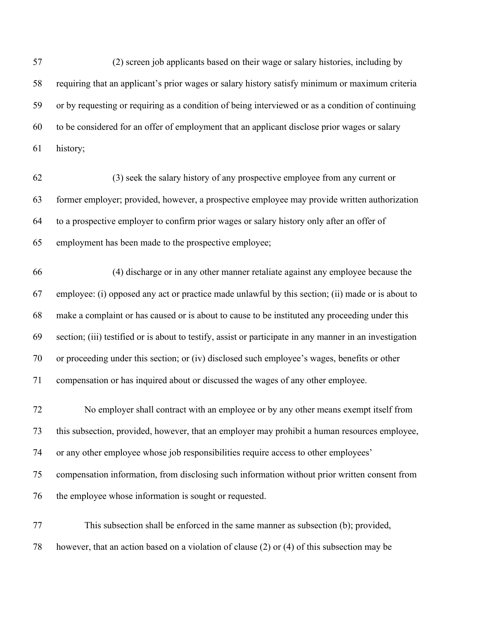(2) screen job applicants based on their wage or salary histories, including by requiring that an applicant's prior wages or salary history satisfy minimum or maximum criteria or by requesting or requiring as a condition of being interviewed or as a condition of continuing to be considered for an offer of employment that an applicant disclose prior wages or salary history;

 (3) seek the salary history of any prospective employee from any current or former employer; provided, however, a prospective employee may provide written authorization to a prospective employer to confirm prior wages or salary history only after an offer of employment has been made to the prospective employee;

 (4) discharge or in any other manner retaliate against any employee because the employee: (i) opposed any act or practice made unlawful by this section; (ii) made or is about to make a complaint or has caused or is about to cause to be instituted any proceeding under this section; (iii) testified or is about to testify, assist or participate in any manner in an investigation or proceeding under this section; or (iv) disclosed such employee's wages, benefits or other compensation or has inquired about or discussed the wages of any other employee.

 No employer shall contract with an employee or by any other means exempt itself from this subsection, provided, however, that an employer may prohibit a human resources employee, or any other employee whose job responsibilities require access to other employees' compensation information, from disclosing such information without prior written consent from the employee whose information is sought or requested.

 This subsection shall be enforced in the same manner as subsection (b); provided, however, that an action based on a violation of clause (2) or (4) of this subsection may be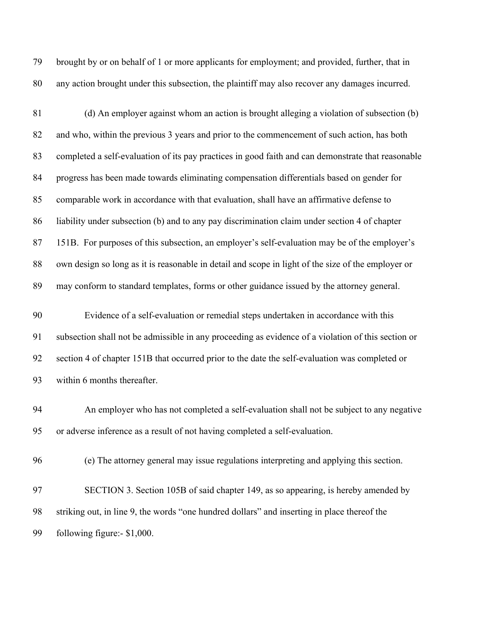brought by or on behalf of 1 or more applicants for employment; and provided, further, that in any action brought under this subsection, the plaintiff may also recover any damages incurred.

 (d) An employer against whom an action is brought alleging a violation of subsection (b) and who, within the previous 3 years and prior to the commencement of such action, has both completed a self-evaluation of its pay practices in good faith and can demonstrate that reasonable progress has been made towards eliminating compensation differentials based on gender for comparable work in accordance with that evaluation, shall have an affirmative defense to liability under subsection (b) and to any pay discrimination claim under section 4 of chapter 151B. For purposes of this subsection, an employer's self-evaluation may be of the employer's own design so long as it is reasonable in detail and scope in light of the size of the employer or may conform to standard templates, forms or other guidance issued by the attorney general.

 Evidence of a self-evaluation or remedial steps undertaken in accordance with this subsection shall not be admissible in any proceeding as evidence of a violation of this section or section 4 of chapter 151B that occurred prior to the date the self-evaluation was completed or within 6 months thereafter.

 An employer who has not completed a self-evaluation shall not be subject to any negative or adverse inference as a result of not having completed a self-evaluation.

(e) The attorney general may issue regulations interpreting and applying this section.

 SECTION 3. Section 105B of said chapter 149, as so appearing, is hereby amended by striking out, in line 9, the words "one hundred dollars" and inserting in place thereof the following figure:- \$1,000.